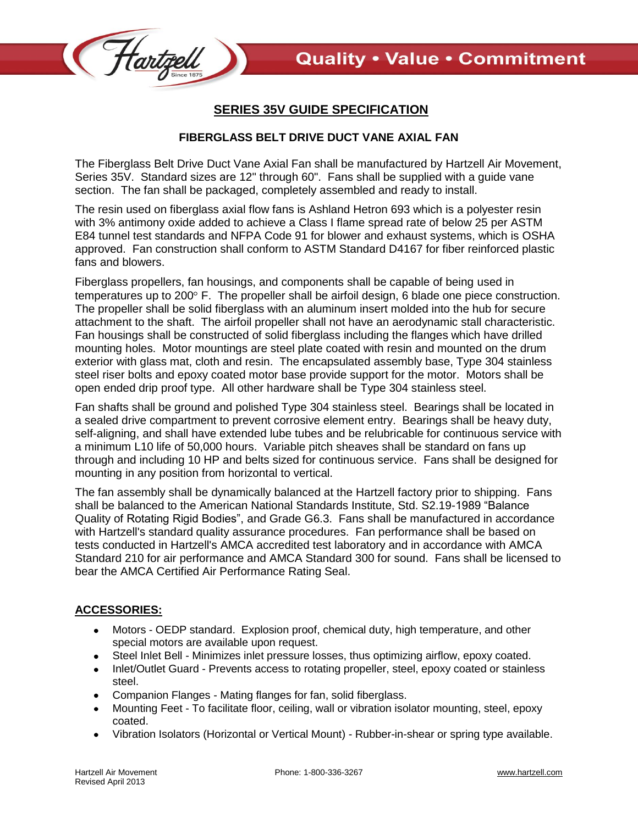

## **SERIES 35V GUIDE SPECIFICATION**

## **FIBERGLASS BELT DRIVE DUCT VANE AXIAL FAN**

The Fiberglass Belt Drive Duct Vane Axial Fan shall be manufactured by Hartzell Air Movement, Series 35V. Standard sizes are 12" through 60". Fans shall be supplied with a guide vane section. The fan shall be packaged, completely assembled and ready to install.

The resin used on fiberglass axial flow fans is Ashland Hetron 693 which is a polyester resin with 3% antimony oxide added to achieve a Class I flame spread rate of below 25 per ASTM E84 tunnel test standards and NFPA Code 91 for blower and exhaust systems, which is OSHA approved. Fan construction shall conform to ASTM Standard D4167 for fiber reinforced plastic fans and blowers.

Fiberglass propellers, fan housings, and components shall be capable of being used in temperatures up to  $200^{\circ}$  F. The propeller shall be airfoil design, 6 blade one piece construction. The propeller shall be solid fiberglass with an aluminum insert molded into the hub for secure attachment to the shaft. The airfoil propeller shall not have an aerodynamic stall characteristic. Fan housings shall be constructed of solid fiberglass including the flanges which have drilled mounting holes. Motor mountings are steel plate coated with resin and mounted on the drum exterior with glass mat, cloth and resin. The encapsulated assembly base, Type 304 stainless steel riser bolts and epoxy coated motor base provide support for the motor. Motors shall be open ended drip proof type. All other hardware shall be Type 304 stainless steel.

Fan shafts shall be ground and polished Type 304 stainless steel. Bearings shall be located in a sealed drive compartment to prevent corrosive element entry. Bearings shall be heavy duty, self-aligning, and shall have extended lube tubes and be relubricable for continuous service with a minimum L10 life of 50,000 hours. Variable pitch sheaves shall be standard on fans up through and including 10 HP and belts sized for continuous service. Fans shall be designed for mounting in any position from horizontal to vertical.

The fan assembly shall be dynamically balanced at the Hartzell factory prior to shipping. Fans shall be balanced to the American National Standards Institute, Std. S2.19-1989 "Balance Quality of Rotating Rigid Bodies", and Grade G6.3. Fans shall be manufactured in accordance with Hartzell's standard quality assurance procedures. Fan performance shall be based on tests conducted in Hartzell's AMCA accredited test laboratory and in accordance with AMCA Standard 210 for air performance and AMCA Standard 300 for sound. Fans shall be licensed to bear the AMCA Certified Air Performance Rating Seal.

## **ACCESSORIES:**

- Motors OEDP standard. Explosion proof, chemical duty, high temperature, and other special motors are available upon request.
- Steel Inlet Bell Minimizes inlet pressure losses, thus optimizing airflow, epoxy coated.
- Inlet/Outlet Guard Prevents access to rotating propeller, steel, epoxy coated or stainless steel.
- Companion Flanges Mating flanges for fan, solid fiberglass.
- Mounting Feet To facilitate floor, ceiling, wall or vibration isolator mounting, steel, epoxy coated.
- Vibration Isolators (Horizontal or Vertical Mount) Rubber-in-shear or spring type available.